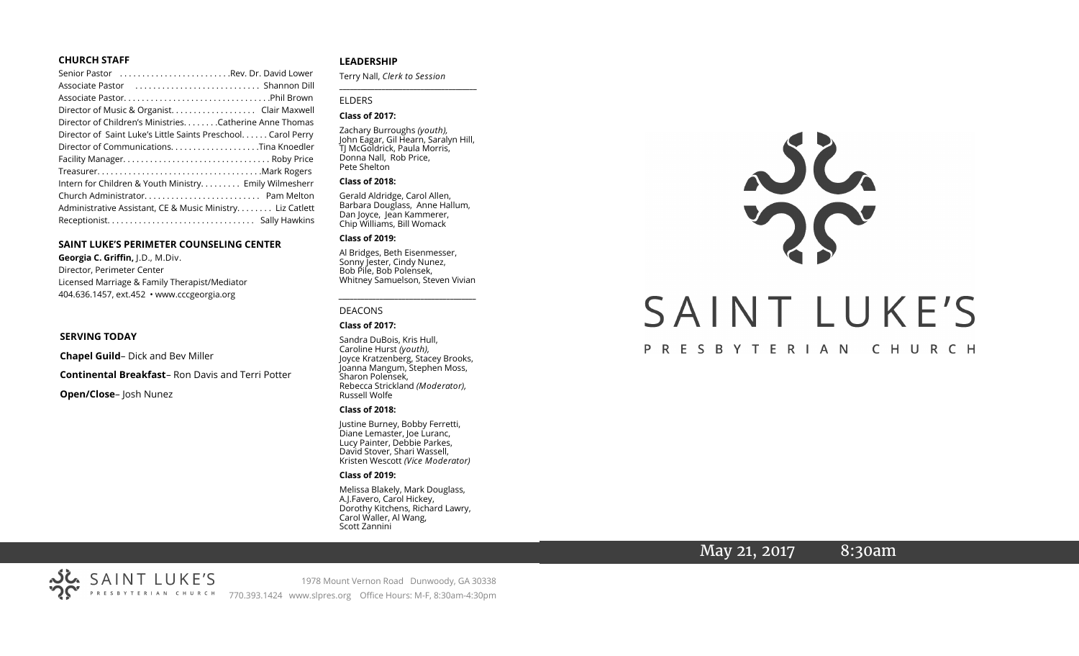#### **CHURCH STAFF**

| Senior Pastor Rev. Dr. David Lower                            |
|---------------------------------------------------------------|
|                                                               |
|                                                               |
| Director of Music & Organist. Clair Maxwell                   |
| Director of Children's Ministries. Catherine Anne Thomas      |
| Director of Saint Luke's Little Saints Preschool. Carol Perry |
| Director of CommunicationsTina Knoedler                       |
|                                                               |
|                                                               |
| Intern for Children & Youth Ministry Emily Wilmesherr         |
|                                                               |
| Administrative Assistant, CE & Music Ministry Liz Catlett     |
|                                                               |

#### **SAINT LUKE'S PERIMETER COUNSELING CENTER**

**Georgia C. Griffin,** J.D., M.Div. Director, Perimeter Center Licensed Marriage & Family Therapist/Mediator 404.636.1457, ext.452 • www.cccgeorgia.org

#### **SERVING TODAY**

**Chapel Guild**– Dick and Bev Miller

**Continental Breakfast**– Ron Davis and Terri Potter

**Open/Close**– Josh Nunez

#### **LEADERSHIP**

Terry Nall, *Clerk to Session* 

**\_\_\_\_\_\_\_\_\_\_\_\_\_\_\_\_\_\_\_\_\_\_\_\_\_\_\_\_\_\_\_\_\_\_\_\_\_\_\_**

#### ELDERS

#### **Class of 2017:**

Zachary Burroughs *(youth),*  John Eagar, Gil Hearn, Saralyn Hill, TJ McGoldrick, Paula Morris, Donna Nall, Rob Price, Pete Shelton

#### **Class of 2018:**

Gerald Aldridge, Carol Allen, Barbara Douglass, Anne Hallum, Dan Joyce, Jean Kammerer, Chip Williams, Bill Womack

#### **Class of 2019:**

Al Bridges, Beth Eisenmesser, Sonny Jester, Cindy Nunez, Bob Pile, Bob Polensek, Whitney Samuelson, Steven Vivian

*\_\_\_\_\_\_\_\_\_\_\_\_\_\_\_\_\_\_\_\_\_\_\_\_\_\_\_\_\_\_\_\_\_\_\_\_\_*

# DEACONS

#### **Class of 2017:**

Sandra DuBois, Kris Hull, Caroline Hurst *(youth),* Joyce Kratzenberg, Stacey Brooks, Joanna Mangum, Stephen Moss, Sharon Polensek, Rebecca Strickland *(Moderator),*  Russell Wolfe

#### **Class of 2018:**

Justine Burney, Bobby Ferretti, Diane Lemaster, Joe Luranc, Lucy Painter, Debbie Parkes, David Stover, Shari Wassell, Kristen Wescott *(Vice Moderator)*

#### **Class of 2019:**

Melissa Blakely, Mark Douglass, A.J.Favero, Carol Hickey, Dorothy Kitchens, Richard Lawry, Carol Waller, Al Wang, Scott Zannini



# May 21, 2017 8:30am



1978 Mount Vernon Road Dunwoody, GA 30338 770.393.1424 www.slpres.org Office Hours: M-F, 8:30am-4:30pm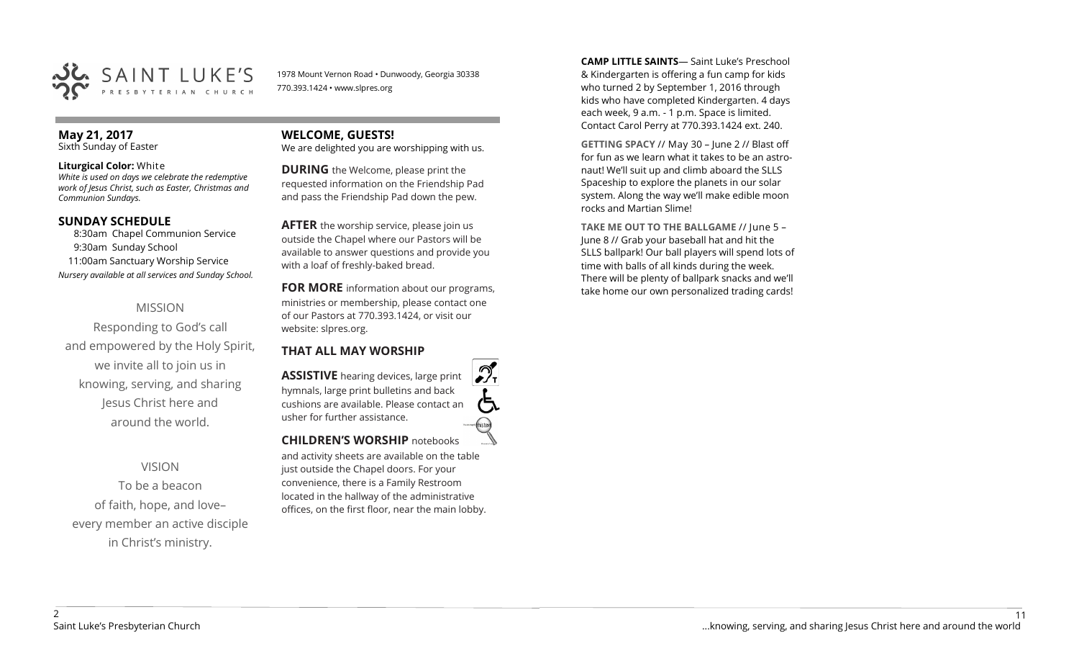

1978 Mount Vernon Road • Dunwoody, Georgia 30338 770.393.1424 • www.slpres.org

# **May 21, 2017**

Sixth Sunday of Easter

#### **Liturgical Color:** White

*White is used on days we celebrate the redemptive work of Jesus Christ, such as Easter, Christmas and Communion Sundays.*

#### **SUNDAY SCHEDULE**

8:30am Chapel Communion Service 9:30am Sunday School 11:00am Sanctuary Worship Service *Nursery available at all services and Sunday School.*

# MISSION

Responding to God's call and empowered by the Holy Spirit, we invite all to join us in knowing, serving, and sharing Jesus Christ here and around the world.

#### VISION

To be a beacon of faith, hope, and love– every member an active disciple in Christ's ministry.

# **WELCOME, GUESTS!**

We are delighted you are worshipping with us.

**DURING** the Welcome, please print the requested information on the Friendship Pad and pass the Friendship Pad down the pew.

**AFTER** the worship service, please join us outside the Chapel where our Pastors will be available to answer questions and provide you with a loaf of freshly-baked bread.

**FOR MORE** information about our programs, ministries or membership, please contact one of our Pastors at 770.393.1424, or visit our website: slpres.org.

#### **THAT ALL MAY WORSHIP**

**ASSISTIVE** hearing devices, large print hymnals, large print bulletins and back cushions are available. Please contact an usher for further assistance. histext **CHILDREN'S WORSHIP** notebooks

and activity sheets are available on the table just outside the Chapel doors. For your convenience, there is a Family Restroom located in the hallway of the administrative offices, on the first floor, near the main lobby.

**CAMP LITTLE SAINTS**— Saint Luke's Preschool & Kindergarten is offering a fun camp for kids who turned 2 by September 1, 2016 through kids who have completed Kindergarten. 4 days each week, 9 a.m. - 1 p.m. Space is limited. Contact Carol Perry at 770.393.1424 ext. 240.

**GETTING SPACY** // May 30 – June 2 // Blast off for fun as we learn what it takes to be an astronaut! We'll suit up and climb aboard the SLLS Spaceship to explore the planets in our solar system. Along the way we'll make edible moon rocks and Martian Slime!

**TAKE ME OUT TO THE BALLGAME** // June 5 – June 8 // Grab your baseball hat and hit the SLLS ballpark! Our ball players will spend lots of time with balls of all kinds during the week. There will be plenty of ballpark snacks and we'll take home our own personalized trading cards!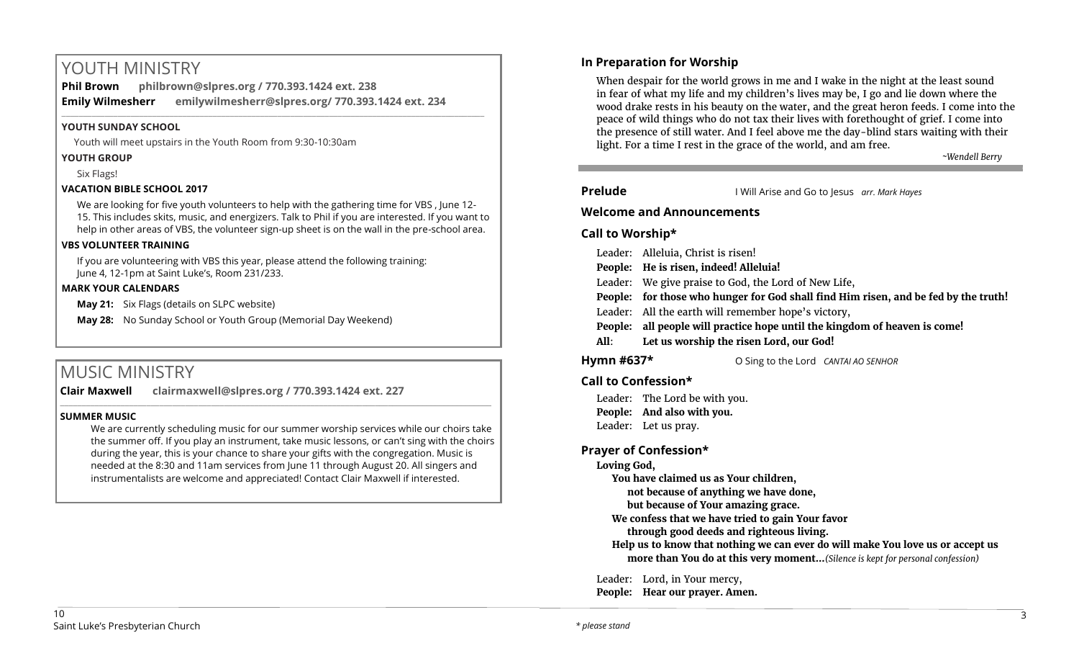# YOUTH MINISTRY

**Phil Brown philbrown@slpres.org / 770.393.1424 ext. 238 Emily Wilmesherr emilywilmesherr@slpres.org/ 770.393.1424 ext. 234**   $\_$  ,  $\_$  ,  $\_$  ,  $\_$  ,  $\_$  ,  $\_$  ,  $\_$  ,  $\_$  ,  $\_$  ,  $\_$  ,  $\_$  ,  $\_$  ,  $\_$  ,  $\_$  ,  $\_$  ,  $\_$  ,  $\_$  ,  $\_$  ,  $\_$  ,  $\_$  ,  $\_$  ,  $\_$  ,  $\_$  ,  $\_$  ,  $\_$  ,  $\_$  ,  $\_$  ,  $\_$  ,  $\_$  ,  $\_$  ,  $\_$  ,  $\_$  ,  $\_$  ,  $\_$  ,  $\_$  ,  $\_$  ,  $\_$  ,

#### **YOUTH SUNDAY SCHOOL**

Youth will meet upstairs in the Youth Room from 9:30-10:30am

#### **YOUTH GROUP**

Six Flags!

## **VACATION BIBLE SCHOOL 2017**

We are looking for five youth volunteers to help with the gathering time for VBS , June 12- 15. This includes skits, music, and energizers. Talk to Phil if you are interested. If you want to help in other areas of VBS, the volunteer sign-up sheet is on the wall in the pre-school area.

#### **VBS VOLUNTEER TRAINING**

If you are volunteering with VBS this year, please attend the following training: June 4, 12-1pm at Saint Luke's, Room 231/233.

#### **MARK YOUR CALENDARS**

**May 21:** Six Flags (details on SLPC website)

**May 28:** No Sunday School or Youth Group (Memorial Day Weekend)

# MUSIC MINISTRY

**Clair Maxwell clairmaxwell@slpres.org / 770.393.1424 ext. 227** 

#### **SUMMER MUSIC**

We are currently scheduling music for our summer worship services while our choirs take the summer off. If you play an instrument, take music lessons, or can't sing with the choirs during the year, this is your chance to share your gifts with the congregation. Music is needed at the 8:30 and 11am services from June 11 through August 20. All singers and instrumentalists are welcome and appreciated! Contact Clair Maxwell if interested.

\_\_\_\_\_\_\_\_\_\_\_\_\_\_\_\_\_\_\_\_\_\_\_\_\_\_\_\_\_\_\_\_\_\_\_\_\_\_\_\_\_\_\_\_\_\_\_\_\_\_\_\_\_\_\_\_\_\_\_\_\_\_\_\_\_\_\_\_\_\_\_\_\_\_\_\_\_\_\_\_\_\_\_\_\_\_\_\_\_\_\_\_\_\_\_\_\_\_\_\_

# **In Preparation for Worship**

When despair for the world grows in me and I wake in the night at the least sound in fear of what my life and my children's lives may be, I go and lie down where the wood drake rests in his beauty on the water, and the great heron feeds. I come into the peace of wild things who do not tax their lives with forethought of grief. I come into the presence of still water. And I feel above me the day-blind stars waiting with their light. For a time I rest in the grace of the world, and am free.

*~Wendell Berry*

**Prelude** I Will Arise and Go to Jesus *arr. Mark Hayes*

## **Welcome and Announcements**

## **Call to Worship\***

|                | Leader: Alleluia, Christ is risen!                                                  |  |
|----------------|-------------------------------------------------------------------------------------|--|
|                | People: He is risen, indeed! Alleluia!                                              |  |
|                | Leader: We give praise to God, the Lord of New Life,                                |  |
|                | People: for those who hunger for God shall find Him risen, and be fed by the truth! |  |
|                | Leader: All the earth will remember hope's victory,                                 |  |
| <b>People:</b> | all people will practice hope until the kingdom of heaven is come!                  |  |
| All:           | Let us worship the risen Lord, our God!                                             |  |
|                |                                                                                     |  |

**Hymn #637\*** O Sing to the Lord *CANTAI AO SENHOR*

# **Call to Confession\***

Leader: The Lord be with you. **People: And also with you.** Leader: Let us pray.

# **Prayer of Confession\***

**Loving God,** 

**You have claimed us as Your children,**

**not because of anything we have done,**

**but because of Your amazing grace.**

**We confess that we have tried to gain Your favor**

**through good deeds and righteous living.**

**Help us to know that nothing we can ever do will make You love us or accept us more than You do at this very moment...***(Silence is kept for personal confession)* 

Leader: Lord, in Your mercy,

**People: Hear our prayer. Amen.**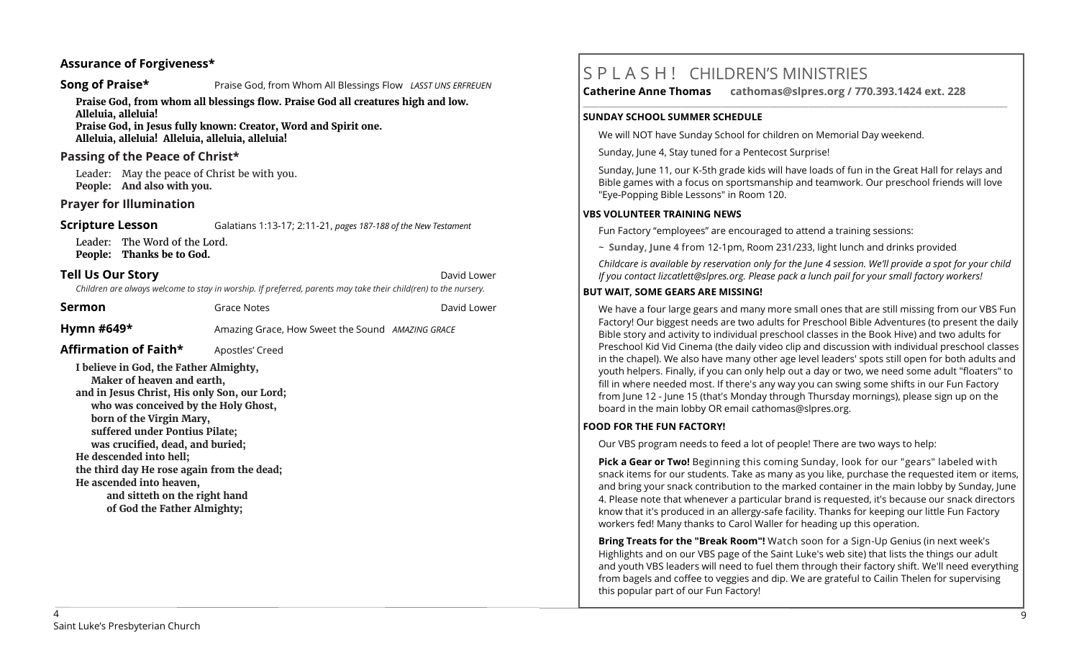## **Assurance of Forgiveness\***

#### **Song of Praise\* Praise God, from Whom All Blessings Flow** *LASST UNS ERFREUEN*

**Praise God, from whom all blessings flow. Praise God all creatures high and low. Alleluia, alleluia!** 

**Praise God, in Jesus fully known: Creator, Word and Spirit one. Alleluia, alleluia! Alleluia, alleluia, alleluia!** 

#### **Passing of the Peace of Christ\***

Leader: May the peace of Christ be with you. **People: And also with you.**

## **Prayer for Illumination**

**Scripture Lesson** Galatians 1:13-17; 2:11-21, *pages 187-188 of the New Testament* 

Leader: The Word of the Lord. **People: Thanks be to God.**

#### **Tell Us Our Story David Lower** *David Lower**David Lower**David Lower*

*Children are always welcome to stay in worship. If preferred, parents may take their child(ren) to the nursery.*

| Sermon                | Grace Notes                                      | David Lower |
|-----------------------|--------------------------------------------------|-------------|
| Hymn #649*            | Amazing Grace, How Sweet the Sound AMAZING GRACE |             |
| Affirmation of Faith* | Apostles' Creed                                  |             |

**I believe in God, the Father Almighty, Maker of heaven and earth, and in Jesus Christ, His only Son, our Lord; who was conceived by the Holy Ghost, born of the Virgin Mary, suffered under Pontius Pilate; was crucified, dead, and buried; He descended into hell; the third day He rose again from the dead; He ascended into heaven, and sitteth on the right hand** 

**of God the Father Almighty;**

# S P L A S H ! CHILDREN'S MINISTRIES

**Catherine Anne Thomas cathomas@slpres.org / 770.393.1424 ext. 228 \_\_\_\_\_\_\_\_\_\_\_\_\_\_\_\_\_\_\_\_\_\_\_\_\_\_\_\_\_\_\_\_\_\_\_\_\_\_\_\_\_\_\_\_\_\_\_\_\_\_\_\_\_\_\_\_\_\_\_\_\_\_\_\_\_\_\_\_\_\_\_\_\_\_\_\_\_\_\_\_\_\_\_\_\_\_\_\_\_\_\_\_\_\_\_\_\_\_\_\_\_\_\_\_\_\_\_** 

#### **SUNDAY SCHOOL SUMMER SCHEDULE**

We will NOT have Sunday School for children on Memorial Day weekend.

Sunday, June 4, Stay tuned for a Pentecost Surprise!

Sunday, June 11, our K-5th grade kids will have loads of fun in the Great Hall for relays and Bible games with a focus on sportsmanship and teamwork. Our preschool friends will love "Eye-Popping Bible Lessons" in Room 120.

#### **VBS VOLUNTEER TRAINING NEWS**

Fun Factory "employees" are encouraged to attend a training sessions:

~ **Sunday, June 4** from 12-1pm, Room 231/233, light lunch and drinks provided

*Childcare is available by reservation only for the June 4 session. We'll provide a spot for your child If you contact [lizcatlett@slpres.org.](mailto:lizcatlett@slpres.org) Please pack a lunch pail for your small factory workers!*

#### **BUT WAIT, SOME GEARS ARE MISSING!**

We have a four large gears and many more small ones that are still missing from our VBS Fun Factory! Our biggest needs are two adults for Preschool Bible Adventures (to present the daily Bible story and activity to individual preschool classes in the Book Hive) and two adults for Preschool Kid Vid Cinema (the daily video clip and discussion with individual preschool classes in the chapel). We also have many other age level leaders' spots still open for both adults and youth helpers. Finally, if you can only help out a day or two, we need some adult "floaters" to fill in where needed most. If there's any way you can swing some shifts in our Fun Factory from June 12 - June 15 (that's Monday through Thursday mornings), please sign up on the board in the main lobby OR email [cathomas@slpres.org.](mailto:cathomas@slpres.orgThanks)

#### **FOOD FOR THE FUN FACTORY!**

Our VBS program needs to feed a lot of people! There are two ways to help:

**Pick a Gear or Two!** Beginning this coming Sunday, look for our "gears" labeled with snack items for our students. Take as many as you like, purchase the requested item or items, and bring your snack contribution to the marked container in the main lobby by Sunday, June 4. Please note that whenever a particular brand is requested, it's because our snack directors know that it's produced in an allergy-safe facility. Thanks for keeping our little Fun Factory workers fed! Many thanks to Carol Waller for heading up this operation.

**Bring Treats for the "Break Room"!** Watch soon for a Sign-Up Genius (in next week's Highlights and on our VBS page of the Saint Luke's web site) that lists the things our adult and youth VBS leaders will need to fuel them through their factory shift. We'll need everything from bagels and coffee to veggies and dip. We are grateful to Cailin Thelen for supervising this popular part of our Fun Factory!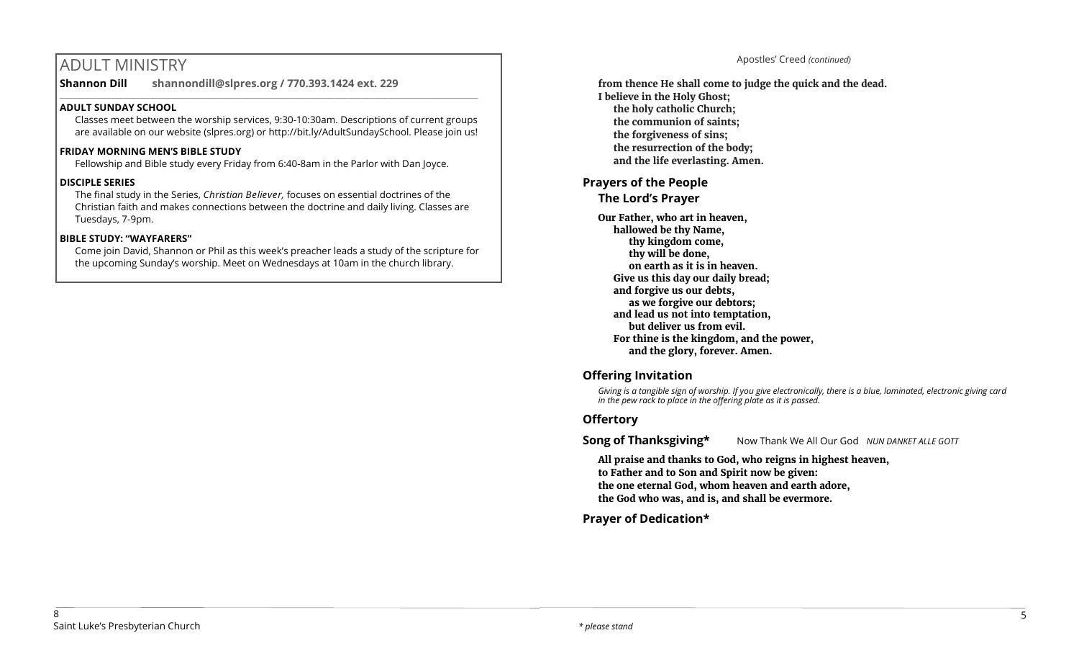# ADULT MINISTRY

**Shannon Dill shannondill@slpres.org / 770.393.1424 ext. 229**   $\_$  ,  $\_$  ,  $\_$  ,  $\_$  ,  $\_$  ,  $\_$  ,  $\_$  ,  $\_$  ,  $\_$  ,  $\_$  ,  $\_$  ,  $\_$  ,  $\_$  ,  $\_$  ,  $\_$  ,  $\_$  ,  $\_$  ,  $\_$  ,  $\_$ 

## **ADULT SUNDAY SCHOOL**

Classes meet between the worship services, 9:30-10:30am. Descriptions of current groups are available on our website (slpres.org) or http://bit.ly/AdultSundaySchool. Please join us!

# **FRIDAY MORNING MEN'S BIBLE STUDY**

Fellowship and Bible study every Friday from 6:40-8am in the Parlor with Dan Joyce.

# **DISCIPLE SERIES**

The final study in the Series, *Christian Believer,* focuses on essential doctrines of the Christian faith and makes connections between the doctrine and daily living. Classes are Tuesdays, 7-9pm.

# **BIBLE STUDY: "WAYFARERS"**

Come join David, Shannon or Phil as this week's preacher leads a study of the scripture for the upcoming Sunday's worship. Meet on Wednesdays at 10am in the church library.

Apostles' Creed *(continued)*

**from thence He shall come to judge the quick and the dead. I believe in the Holy Ghost; the holy catholic Church; the communion of saints; the forgiveness of sins; the resurrection of the body; and the life everlasting. Amen.**

## **Prayers of the People The Lord's Prayer**

**Our Father, who art in heaven, hallowed be thy Name, thy kingdom come, thy will be done, on earth as it is in heaven. Give us this day our daily bread; and forgive us our debts, as we forgive our debtors; and lead us not into temptation, but deliver us from evil. For thine is the kingdom, and the power, and the glory, forever. Amen.**

# **Offering Invitation**

*Giving is a tangible sign of worship. If you give electronically, there is a blue, laminated, electronic giving card in the pew rack to place in the offering plate as it is passed.*

# **Offertory**

**Song of Thanksgiving\*** Now Thank We All Our God *NUN DANKET ALLE GOTT* 

**All praise and thanks to God, who reigns in highest heaven, to Father and to Son and Spirit now be given: the one eternal God, whom heaven and earth adore, the God who was, and is, and shall be evermore.** 

**Prayer of Dedication\***